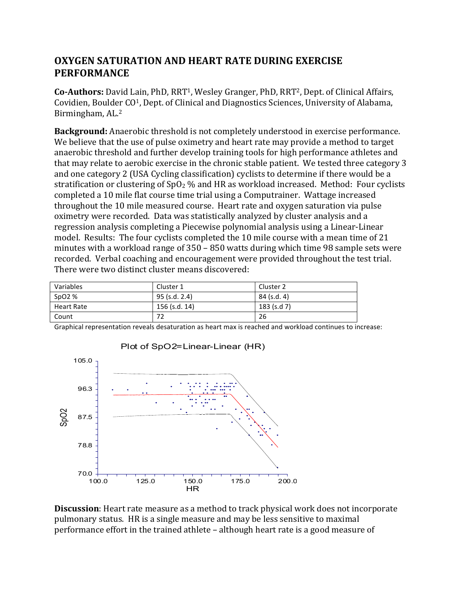## **OXYGEN SATURATION AND HEART RATE DURING EXERCISE PERFORMANCE**

**Co-Authors:** David Lain, PhD, RRT<sup>1</sup>, Wesley Granger, PhD, RRT<sup>2</sup>, Dept. of Clinical Affairs, Covidien, Boulder  $CO<sup>1</sup>$ , Dept. of Clinical and Diagnostics Sciences, University of Alabama, Birmingham, AL.<sup>2</sup>

**Background:** Anaerobic threshold is not completely understood in exercise performance. We believe that the use of pulse oximetry and heart rate may provide a method to target anaerobic threshold and further develop training tools for high performance athletes and that may relate to aerobic exercise in the chronic stable patient. We tested three category 3 and one category 2 (USA Cycling classification) cyclists to determine if there would be a stratification or clustering of  $SpO<sub>2</sub>$ % and HR as workload increased. Method: Four cyclists completed a 10 mile flat course time trial using a Computrainer. Wattage increased throughout the 10 mile measured course. Heart rate and oxygen saturation via pulse oximetry were recorded. Data was statistically analyzed by cluster analysis and a regression analysis completing a Piecewise polynomial analysis using a Linear-Linear model. Results: The four cyclists completed the 10 mile course with a mean time of 21 minutes with a workload range of  $350 - 850$  watts during which time 98 sample sets were recorded. Verbal coaching and encouragement were provided throughout the test trial. There were two distinct cluster means discovered:

| Variables         | Cluster 1     | Cluster 2     |
|-------------------|---------------|---------------|
| SpO2 %            | 95 (s.d. 2.4) | 84 (s.d. 4)   |
| <b>Heart Rate</b> | 156 (s.d. 14) | $183$ (s.d 7) |
| Count             | 77            | 26            |

Graphical representation reveals desaturation as heart max is reached and workload continues to increase:



**Discussion**: Heart rate measure as a method to track physical work does not incorporate pulmonary status. HR is a single measure and may be less sensitive to maximal performance effort in the trained athlete – although heart rate is a good measure of